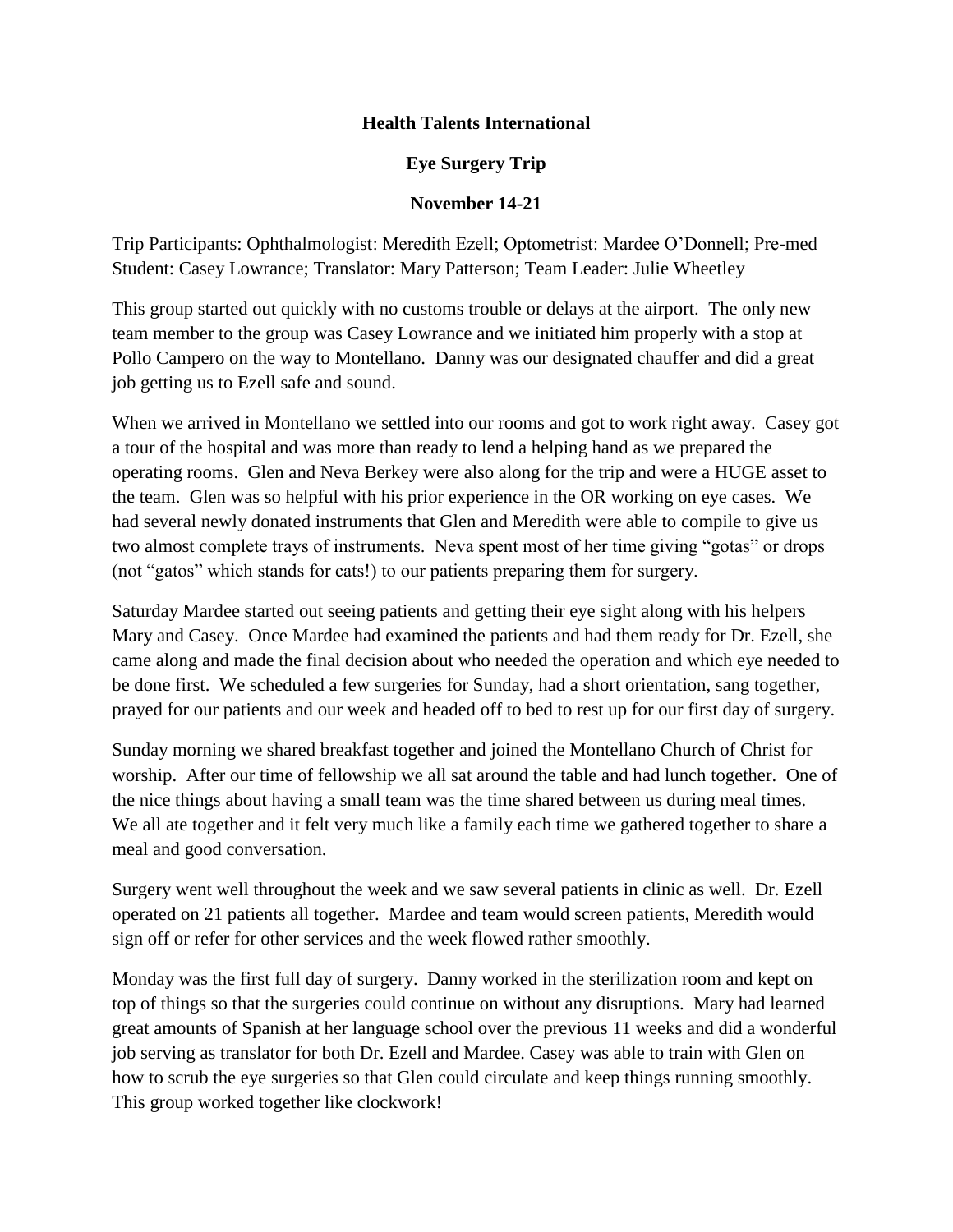## **Health Talents International**

## **Eye Surgery Trip**

## **November 14-21**

Trip Participants: Ophthalmologist: Meredith Ezell; Optometrist: Mardee O'Donnell; Pre-med Student: Casey Lowrance; Translator: Mary Patterson; Team Leader: Julie Wheetley

This group started out quickly with no customs trouble or delays at the airport. The only new team member to the group was Casey Lowrance and we initiated him properly with a stop at Pollo Campero on the way to Montellano. Danny was our designated chauffer and did a great job getting us to Ezell safe and sound.

When we arrived in Montellano we settled into our rooms and got to work right away. Casey got a tour of the hospital and was more than ready to lend a helping hand as we prepared the operating rooms. Glen and Neva Berkey were also along for the trip and were a HUGE asset to the team. Glen was so helpful with his prior experience in the OR working on eye cases. We had several newly donated instruments that Glen and Meredith were able to compile to give us two almost complete trays of instruments. Neva spent most of her time giving "gotas" or drops (not "gatos" which stands for cats!) to our patients preparing them for surgery.

Saturday Mardee started out seeing patients and getting their eye sight along with his helpers Mary and Casey. Once Mardee had examined the patients and had them ready for Dr. Ezell, she came along and made the final decision about who needed the operation and which eye needed to be done first. We scheduled a few surgeries for Sunday, had a short orientation, sang together, prayed for our patients and our week and headed off to bed to rest up for our first day of surgery.

Sunday morning we shared breakfast together and joined the Montellano Church of Christ for worship. After our time of fellowship we all sat around the table and had lunch together. One of the nice things about having a small team was the time shared between us during meal times. We all ate together and it felt very much like a family each time we gathered together to share a meal and good conversation.

Surgery went well throughout the week and we saw several patients in clinic as well. Dr. Ezell operated on 21 patients all together. Mardee and team would screen patients, Meredith would sign off or refer for other services and the week flowed rather smoothly.

Monday was the first full day of surgery. Danny worked in the sterilization room and kept on top of things so that the surgeries could continue on without any disruptions. Mary had learned great amounts of Spanish at her language school over the previous 11 weeks and did a wonderful job serving as translator for both Dr. Ezell and Mardee. Casey was able to train with Glen on how to scrub the eye surgeries so that Glen could circulate and keep things running smoothly. This group worked together like clockwork!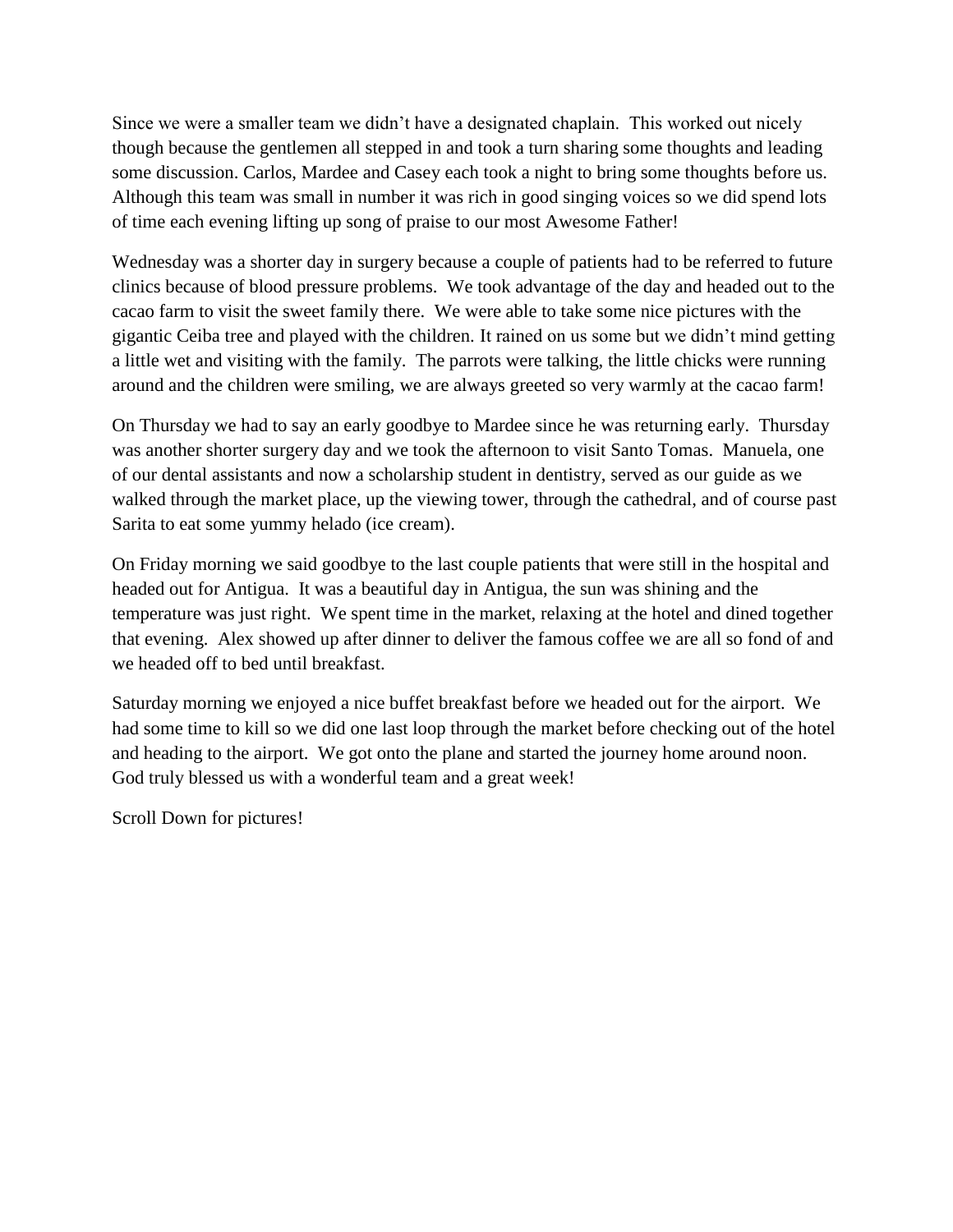Since we were a smaller team we didn't have a designated chaplain. This worked out nicely though because the gentlemen all stepped in and took a turn sharing some thoughts and leading some discussion. Carlos, Mardee and Casey each took a night to bring some thoughts before us. Although this team was small in number it was rich in good singing voices so we did spend lots of time each evening lifting up song of praise to our most Awesome Father!

Wednesday was a shorter day in surgery because a couple of patients had to be referred to future clinics because of blood pressure problems. We took advantage of the day and headed out to the cacao farm to visit the sweet family there. We were able to take some nice pictures with the gigantic Ceiba tree and played with the children. It rained on us some but we didn't mind getting a little wet and visiting with the family. The parrots were talking, the little chicks were running around and the children were smiling, we are always greeted so very warmly at the cacao farm!

On Thursday we had to say an early goodbye to Mardee since he was returning early. Thursday was another shorter surgery day and we took the afternoon to visit Santo Tomas. Manuela, one of our dental assistants and now a scholarship student in dentistry, served as our guide as we walked through the market place, up the viewing tower, through the cathedral, and of course past Sarita to eat some yummy helado (ice cream).

On Friday morning we said goodbye to the last couple patients that were still in the hospital and headed out for Antigua. It was a beautiful day in Antigua, the sun was shining and the temperature was just right. We spent time in the market, relaxing at the hotel and dined together that evening. Alex showed up after dinner to deliver the famous coffee we are all so fond of and we headed off to bed until breakfast.

Saturday morning we enjoyed a nice buffet breakfast before we headed out for the airport. We had some time to kill so we did one last loop through the market before checking out of the hotel and heading to the airport. We got onto the plane and started the journey home around noon. God truly blessed us with a wonderful team and a great week!

Scroll Down for pictures!